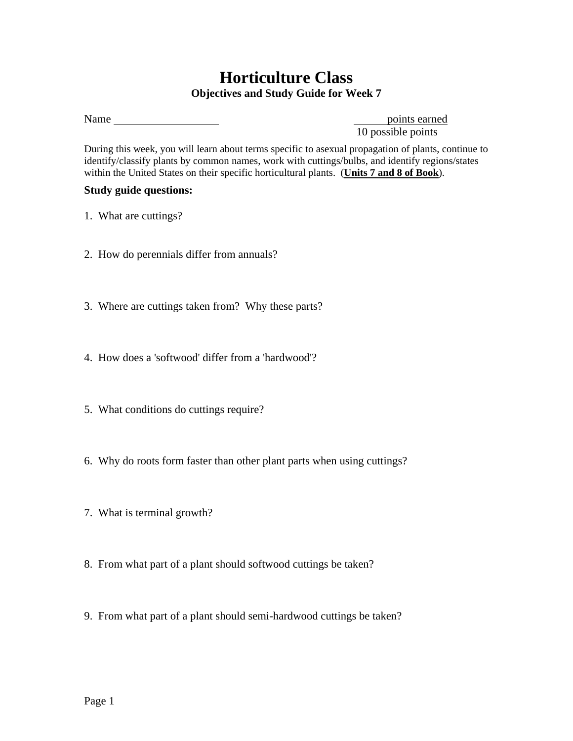## **Horticulture Class Objectives and Study Guide for Week 7**

Name points earned

10 possible points

During this week, you will learn about terms specific to asexual propagation of plants, continue to identify/classify plants by common names, work with cuttings/bulbs, and identify regions/states within the United States on their specific horticultural plants. (**Units 7 and 8 of Book**).

## **Study guide questions:**

- 1. What are cuttings?
- 2. How do perennials differ from annuals?
- 3. Where are cuttings taken from? Why these parts?
- 4. How does a 'softwood' differ from a 'hardwood'?
- 5. What conditions do cuttings require?
- 6. Why do roots form faster than other plant parts when using cuttings?
- 7. What is terminal growth?
- 8. From what part of a plant should softwood cuttings be taken?
- 9. From what part of a plant should semi-hardwood cuttings be taken?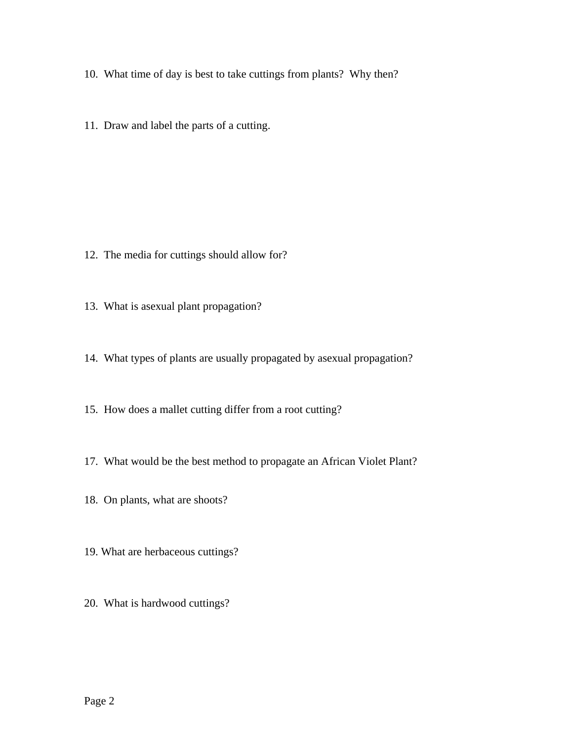- 10. What time of day is best to take cuttings from plants? Why then?
- 11. Draw and label the parts of a cutting.

- 12. The media for cuttings should allow for?
- 13. What is asexual plant propagation?
- 14. What types of plants are usually propagated by asexual propagation?
- 15. How does a mallet cutting differ from a root cutting?
- 17. What would be the best method to propagate an African Violet Plant?
- 18. On plants, what are shoots?
- 19. What are herbaceous cuttings?
- 20. What is hardwood cuttings?